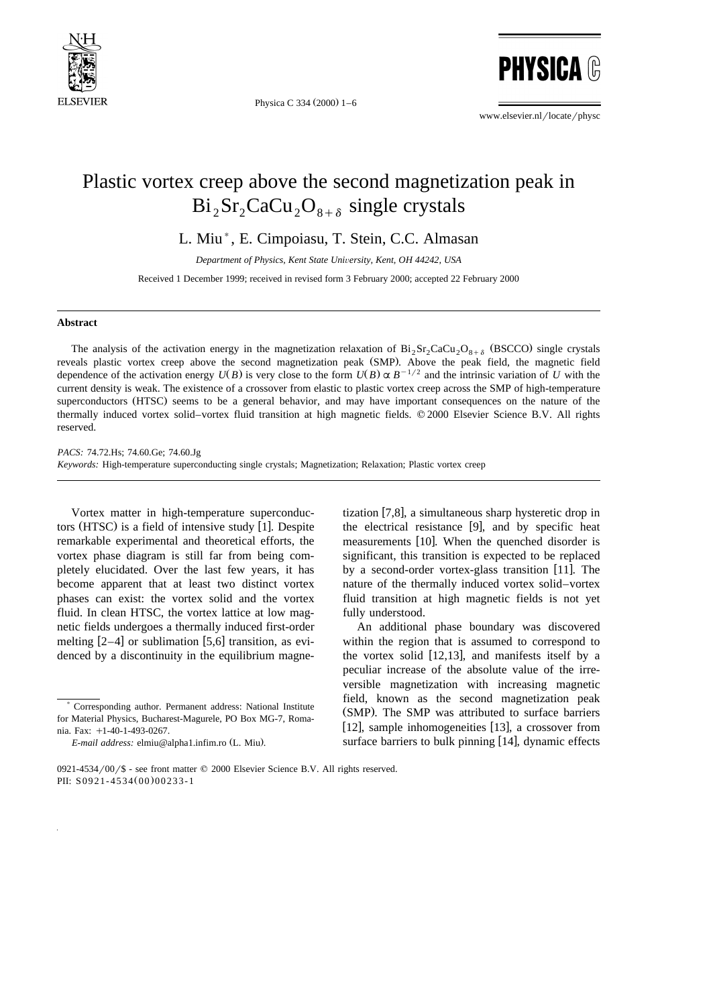

Physica C 334  $(2000)$  1-6

**PHYSICA ®** 

www.elsevier.nl/locate/physc

## Plastic vortex creep above the second magnetization peak in  $Bi_2Sr_2CaCu_2O_{8+\delta}$  single crystals

L. Miu), E. Cimpoiasu, T. Stein, C.C. Almasan

*Department of Physics, Kent State Uni*Õ*ersity, Kent, OH 44242, USA*

Received 1 December 1999; received in revised form 3 February 2000; accepted 22 February 2000

## **Abstract**

The analysis of the activation energy in the magnetization relaxation of  $Bi_2Sr_2CaCu_2O_{8+\delta}$  (BSCCO) single crystals reveals plastic vortex creep above the second magnetization peak (SMP). Above the peak field, the magnetic field dependence of the activation energy  $U(B)$  is very close to the form  $U(B) \propto B^{-1/2}$  and the intrinsic variation of *U* with the current density is weak. The existence of a crossover from elastic to plastic vortex creep across the SMP of high-temperature superconductors (HTSC) seems to be a general behavior, and may have important consequences on the nature of the thermally induced vortex solid–vortex fluid transition at high magnetic fields. © 2000 Elsevier Science B.V. All rights reserved.

*PACS:* 74.72.Hs; 74.60.Ge; 74.60.Jg *Keywords:* High-temperature superconducting single crystals; Magnetization; Relaxation; Plastic vortex creep

Vortex matter in high-temperature superconductors (HTSC) is a field of intensive study  $[1]$ . Despite remarkable experimental and theoretical efforts, the vortex phase diagram is still far from being completely elucidated. Over the last few years, it has become apparent that at least two distinct vortex phases can exist: the vortex solid and the vortex fluid. In clean HTSC, the vortex lattice at low magnetic fields undergoes a thermally induced first-order melting  $[2-4]$  or sublimation [5,6] transition, as evidenced by a discontinuity in the equilibrium magne-

tization  $[7,8]$ , a simultaneous sharp hysteretic drop in the electrical resistance  $[9]$ , and by specific heat measurements [10]. When the quenched disorder is significant, this transition is expected to be replaced by a second-order vortex-glass transition [11]. The nature of the thermally induced vortex solid–vortex fluid transition at high magnetic fields is not yet fully understood.

An additional phase boundary was discovered within the region that is assumed to correspond to the vortex solid  $[12,13]$ , and manifests itself by a peculiar increase of the absolute value of the irreversible magnetization with increasing magnetic field, known as the second magnetization peak (SMP). The SMP was attributed to surface barriers [12], sample inhomogeneities [13], a crossover from surface barriers to bulk pinning  $[14]$ , dynamic effects

<sup>)</sup> Corresponding author. Permanent address: National Institute for Material Physics, Bucharest-Magurele, PO Box MG-7, Romania. Fax: +1-40-1-493-0267.

*E-mail address:* elmiu@alpha1.infim.ro (L. Miu).

<sup>0921-4534/00/\$ -</sup> see front matter  $©$  2000 Elsevier Science B.V. All rights reserved. PII: S0921-4534(00)00233-1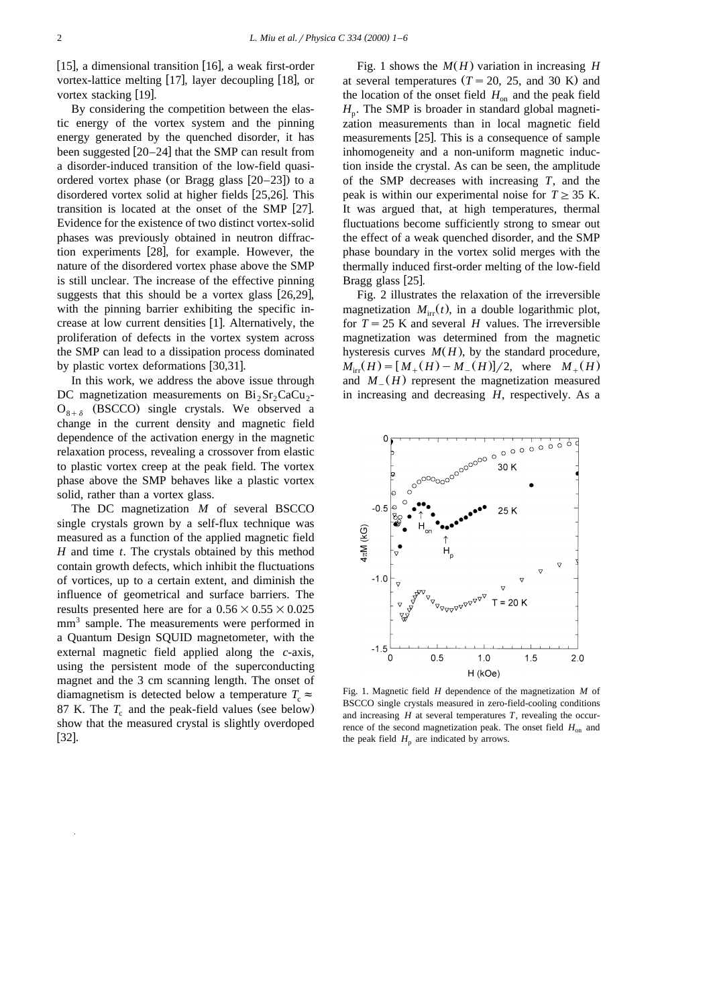[15], a dimensional transition  $[16]$ , a weak first-order vortex-lattice melting  $[17]$ , layer decoupling  $[18]$ , or vortex stacking  $[19]$ .

By considering the competition between the elastic energy of the vortex system and the pinning energy generated by the quenched disorder, it has been suggested  $[20-24]$  that the SMP can result from a disorder-induced transition of the low-field quasiordered vortex phase (or Bragg glass  $[20-23]$ ) to a disordered vortex solid at higher fields [25,26]. This transition is located at the onset of the SMP  $[27]$ . Evidence for the existence of two distinct vortex-solid phases was previously obtained in neutron diffraction experiments [28], for example. However, the nature of the disordered vortex phase above the SMP is still unclear. The increase of the effective pinning suggests that this should be a vortex glass  $[26,29]$ , with the pinning barrier exhibiting the specific increase at low current densities [1]. Alternatively, the proliferation of defects in the vortex system across the SMP can lead to a dissipation process dominated by plastic vortex deformations  $[30,31]$ .

In this work, we address the above issue through DC magnetization measurements on  $Bi<sub>2</sub>Sr<sub>2</sub>CaCu<sub>2</sub>$  $O_{8+\delta}$  (BSCCO) single crystals. We observed a change in the current density and magnetic field dependence of the activation energy in the magnetic relaxation process, revealing a crossover from elastic to plastic vortex creep at the peak field. The vortex phase above the SMP behaves like a plastic vortex solid, rather than a vortex glass.

The DC magnetization *M* of several BSCCO single crystals grown by a self-flux technique was measured as a function of the applied magnetic field *H* and time *t*. The crystals obtained by this method contain growth defects, which inhibit the fluctuations of vortices, up to a certain extent, and diminish the influence of geometrical and surface barriers. The results presented here are for a  $0.56\times0.55\times0.025$ mm<sup>3</sup> sample. The measurements were performed in a Quantum Design SQUID magnetometer, with the external magnetic field applied along the *c*-axis, using the persistent mode of the superconducting magnet and the 3 cm scanning length. The onset of diamagnetism is detected below a temperature  $T_c \approx$ 87 K. The  $T_c$  and the peak-field values (see below) show that the measured crystal is slightly overdoped  $[32]$ .

Fig. 1 shows the  $M(H)$  variation in increasing *H* at several temperatures  $(T = 20, 25,$  and 30 K) and the location of the onset field  $H_{on}$  and the peak field  $H<sub>n</sub>$ . The SMP is broader in standard global magnetization measurements than in local magnetic field measurements  $[25]$ . This is a consequence of sample inhomogeneity and a non-uniform magnetic induction inside the crystal. As can be seen, the amplitude of the SMP decreases with increasing *T*, and the peak is within our experimental noise for  $T \geq 35$  K. It was argued that, at high temperatures, thermal fluctuations become sufficiently strong to smear out the effect of a weak quenched disorder, and the SMP phase boundary in the vortex solid merges with the thermally induced first-order melting of the low-field Bragg glass  $[25]$ .

Fig. 2 illustrates the relaxation of the irreversible magnetization  $M_{irr}(t)$ , in a double logarithmic plot, for  $T = 25$  K and several *H* values. The irreversible magnetization was determined from the magnetic hysteresis curves  $M(H)$ , by the standard procedure,  $M_{irr}(H) = [M_{+}(H) - M_{-}(H)]/2$ , where  $M_{+}(H)$ and  $M_{-}(H)$  represent the magnetization measured in increasing and decreasing *H*, respectively. As a



Fig. 1. Magnetic field *H* dependence of the magnetization *M* of BSCCO single crystals measured in zero-field-cooling conditions and increasing *H* at several temperatures *T*, revealing the occurrence of the second magnetization peak. The onset field  $H_{on}$  and the peak field  $H<sub>p</sub>$  are indicated by arrows.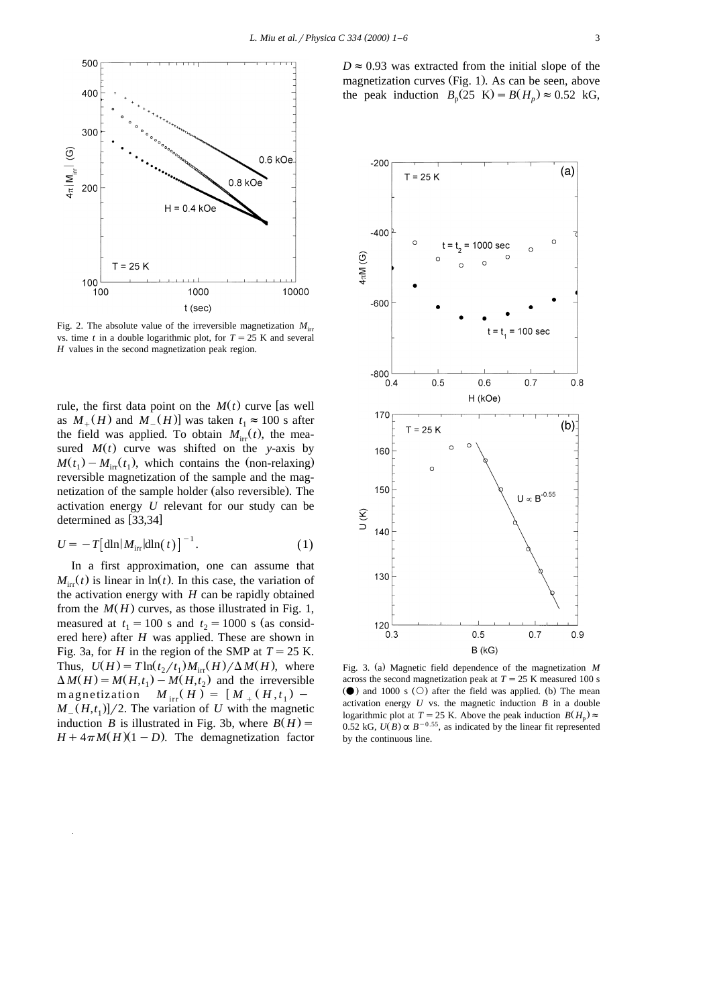

Fig. 2. The absolute value of the irreversible magnetization  $M_{\text{in}}$ vs. time *t* in a double logarithmic plot, for  $T = 25$  K and several *H* values in the second magnetization peak region.

rule, the first data point on the  $M(t)$  curve [as well as  $M_{+}(H)$  and  $M_{-}(H)$ ] was taken  $t_1 \approx 100$  s after the field was applied. To obtain  $M_{irr}(t)$ , the measured  $M(t)$  curve was shifted on the *y*-axis by  $M(t_1) - M_{irr}(t_1)$ , which contains the (non-relaxing) reversible magnetization of the sample and the magnetization of the sample holder (also reversible). The activation energy *U* relevant for our study can be determined as  $[33,34]$ 

$$
U = -T \left[ \frac{\dim M_{irr}}{\dim(t)} \right]^{-1}.
$$
 (1)

In a first approximation, one can assume that  $M_{irr}(t)$  is linear in  $ln(t)$ . In this case, the variation of the activation energy with *H* can be rapidly obtained from the  $M(H)$  curves, as those illustrated in Fig. 1, measured at  $t_1 = 100$  s and  $t_2 = 1000$  s (as considered here) after  $H$  was applied. These are shown in Fig. 3a, for *H* in the region of the SMP at  $T = 25$  K. Thus,  $U(H) = T \ln(t_2/t_1) M_{irr}(H) / \Delta M(H)$ , where  $\Delta M(H) = M(H,t_1) - M(H,t_2)$  and the irreversible magnetization  $M_{irr}(H) = [M_{+}(H,t_1) M_{-}(H,t_1)/2$ . The variation of *U* with the magnetic induction *B* is illustrated in Fig. 3b, where  $B(H)$  =  $H + 4\pi M(H)(1 - D)$ . The demagnetization factor  $D \approx 0.93$  was extracted from the initial slope of the magnetization curves (Fig. 1). As can be seen, above the peak induction  $B_p(25 \text{ K}) = B(H_p) \approx 0.52 \text{ kG},$ 



Fig. 3. (a) Magnetic field dependence of the magnetization M across the second magnetization peak at  $T = 25$  K measured 100 s  $\bullet$  and 1000 s  $\circ$  after the field was applied. (b) The mean activation energy  $U$  vs. the magnetic induction  $B$  in a double logarithmic plot at *T* = 25 K. Above the peak induction  $B(H_n) \approx$ 0.52 kG,  $U(B) \propto B^{-0.55}$ , as indicated by the linear fit represented by the continuous line.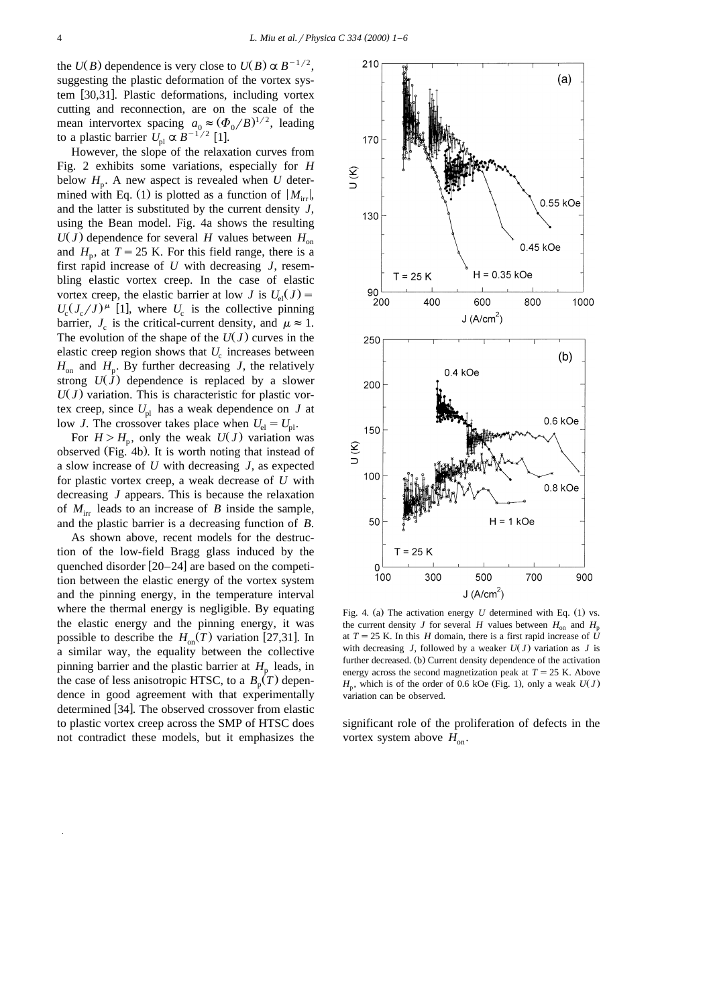the *U(B)* dependence is very close to  $U(B) \propto B^{-1/2}$ , suggesting the plastic deformation of the vortex system [30,31]. Plastic deformations, including vortex cutting and reconnection, are on the scale of the mean intervortex spacing  $a_0 \approx (\Phi_0/B)^{1/2}$ , leading to a plastic barrier  $U_{\text{pl}} \propto B^{-1/2}$  [1].

However, the slope of the relaxation curves from Fig. 2 exhibits some variations, especially for *H* below  $H<sub>p</sub>$ . A new aspect is revealed when *U* determined with Eq. (1) is plotted as a function of  $|M_{irr}|$ , and the latter is substituted by the current density *J*, using the Bean model. Fig. 4a shows the resulting  $U(J)$  dependence for several *H* values between  $H_{on}$ and  $H<sub>n</sub>$ , at  $T = 25$  K. For this field range, there is a first rapid increase of *U* with decreasing *J*, resembling elastic vortex creep. In the case of elastic vortex creep, the elastic barrier at low *J* is  $U_{el}(J)$  =  $U_c (J_c / J)$ <sup> $\mu$ </sup> [1], where  $U_c$  is the collective pinning barrier,  $J_c$  is the critical-current density, and  $\mu \approx 1$ . The evolution of the shape of the  $U(J)$  curves in the elastic creep region shows that  $U_c$  increases between  $H_{\text{on}}$  and  $H_{\text{p}}$ . By further decreasing *J*, the relatively strong  $U(\hat{J})$  dependence is replaced by a slower  $U(J)$  variation. This is characteristic for plastic vortex creep, since  $U_{\rm pl}$  has a weak dependence on *J* at low *J*. The crossover takes place when  $U_{el} = U_{pl}$ .

For  $H > H<sub>p</sub>$ , only the weak  $U(J)$  variation was observed (Fig. 4b). It is worth noting that instead of a slow increase of *U* with decreasing *J*, as expected for plastic vortex creep, a weak decrease of *U* with decreasing *J* appears. This is because the relaxation of  $M_{irr}$  leads to an increase of  $B$  inside the sample, and the plastic barrier is a decreasing function of *B*.

As shown above, recent models for the destruction of the low-field Bragg glass induced by the quenched disorder  $[20-24]$  are based on the competition between the elastic energy of the vortex system and the pinning energy, in the temperature interval where the thermal energy is negligible. By equating the elastic energy and the pinning energy, it was possible to describe the  $H_{on}(T)$  variation [27,31]. In a similar way, the equality between the collective pinning barrier and the plastic barrier at  $H_p$  leads, in the case of less anisotropic HTSC, to a  $B<sub>p</sub>(T)$  dependence in good agreement with that experimentally determined [34]. The observed crossover from elastic to plastic vortex creep across the SMP of HTSC does not contradict these models, but it emphasizes the



Fig. 4. (a) The activation energy  $U$  determined with Eq. (1) vs. the current density *J* for several *H* values between  $H_{\text{on}}$  and  $H_{\text{n}}$ at  $T = 25$  K. In this *H* domain, there is a first rapid increase of  $\hat{U}$ with decreasing *J*, followed by a weaker  $U(J)$  variation as *J* is further decreased. (b) Current density dependence of the activation energy across the second magnetization peak at  $T = 25$  K. Above  $H<sub>p</sub>$ , which is of the order of 0.6 kOe (Fig. 1), only a weak  $U(J)$ variation can be observed.

significant role of the proliferation of defects in the vortex system above  $H_{\text{on}}$ .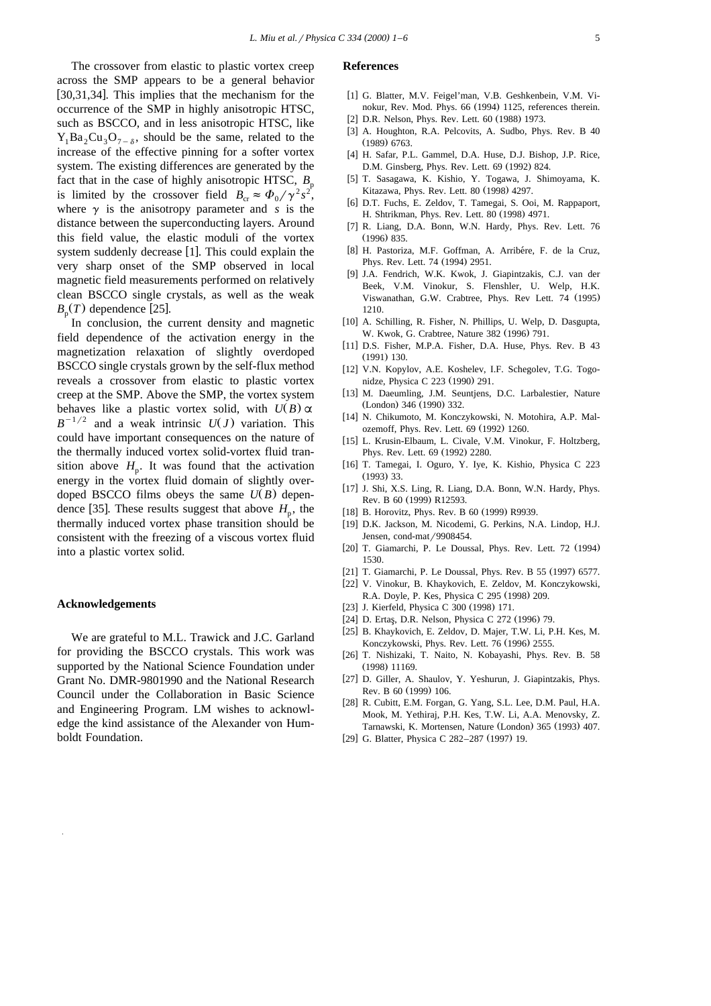The crossover from elastic to plastic vortex creep across the SMP appears to be a general behavior  $[30,31,34]$ . This implies that the mechanism for the occurrence of the SMP in highly anisotropic HTSC, such as BSCCO, and in less anisotropic HTSC, like  $Y_1Ba_2Cu_2O_7$ , should be the same, related to the increase of the effective pinning for a softer vortex system. The existing differences are generated by the fact that in the case of highly anisotropic HTSC,  $B_p$ is limited by the crossover field  $B_{\text{cr}} \approx \Phi_0 / \gamma^2 s^2$ , where  $\gamma$  is the anisotropy parameter and *s* is the distance between the superconducting layers. Around this field value, the elastic moduli of the vortex system suddenly decrease  $[1]$ . This could explain the very sharp onset of the SMP observed in local magnetic field measurements performed on relatively clean BSCCO single crystals, as well as the weak  $B<sub>n</sub>(T)$  dependence [25].

In conclusion, the current density and magnetic field dependence of the activation energy in the magnetization relaxation of slightly overdoped BSCCO single crystals grown by the self-flux method reveals a crossover from elastic to plastic vortex creep at the SMP. Above the SMP, the vortex system behaves like a plastic vortex solid, with  $U(B) \propto B^{-1/2}$  and a weak intrinsic  $U(J)$  variation. This could have important consequences on the nature of the thermally induced vortex solid-vortex fluid transition above  $H_p$ . It was found that the activation energy in the vortex fluid domain of slightly overdoped BSCCO films obeys the same  $U(B)$  dependence [35]. These results suggest that above  $H<sub>n</sub>$ , the thermally induced vortex phase transition should be consistent with the freezing of a viscous vortex fluid into a plastic vortex solid.

## **Acknowledgements**

We are grateful to M.L. Trawick and J.C. Garland for providing the BSCCO crystals. This work was supported by the National Science Foundation under Grant No. DMR-9801990 and the National Research Council under the Collaboration in Basic Science and Engineering Program. LM wishes to acknowledge the kind assistance of the Alexander von Humboldt Foundation.

## **References**

- [1] G. Blatter, M.V. Feigel'man, V.B. Geshkenbein, V.M. Vinokur, Rev. Mod. Phys. 66 (1994) 1125, references therein.
- [2] D.R. Nelson, Phys. Rev. Lett. 60 (1988) 1973.
- [3] A. Houghton, R.A. Pelcovits, A. Sudbo, Phys. Rev. B 40 (1989) 6763.
- [4] H. Safar, P.L. Gammel, D.A. Huse, D.J. Bishop, J.P. Rice, D.M. Ginsberg, Phys. Rev. Lett. 69 (1992) 824.
- [5] T. Sasagawa, K. Kishio, Y. Togawa, J. Shimoyama, K. Kitazawa, Phys. Rev. Lett. 80 (1998) 4297.
- [6] D.T. Fuchs, E. Zeldov, T. Tamegai, S. Ooi, M. Rappaport, H. Shtrikman, Phys. Rev. Lett. 80 (1998) 4971.
- [7] R. Liang, D.A. Bonn, W.N. Hardy, Phys. Rev. Lett. 76  $(1996)$  835.
- [8] H. Pastoriza, M.F. Goffman, A. Arribére, F. de la Cruz, Phys. Rev. Lett. 74 (1994) 2951.
- [9] J.A. Fendrich, W.K. Kwok, J. Giapintzakis, C.J. van der Beek, V.M. Vinokur, S. Flenshler, U. Welp, H.K. Viswanathan, G.W. Crabtree, Phys. Rev Lett. 74 (1995) 1210.
- [10] A. Schilling, R. Fisher, N. Phillips, U. Welp, D. Dasgupta, W. Kwok, G. Crabtree, Nature 382 (1996) 791.
- [11] D.S. Fisher, M.P.A. Fisher, D.A. Huse, Phys. Rev. B 43  $(1991)$  130.
- [12] V.N. Kopylov, A.E. Koshelev, I.F. Schegolev, T.G. Togonidze, Physica C 223 (1990) 291.
- [13] M. Daeumling, J.M. Seuntjens, D.C. Larbalestier, Nature (London) 346 (1990) 332.
- [14] N. Chikumoto, M. Konczykowski, N. Motohira, A.P. Malozemoff, Phys. Rev. Lett. 69 (1992) 1260.
- [15] L. Krusin-Elbaum, L. Civale, V.M. Vinokur, F. Holtzberg, Phys. Rev. Lett. 69 (1992) 2280.
- [16] T. Tamegai, I. Oguro, Y. Iye, K. Kishio, Physica C 223  $(1993)$  33.
- [17] J. Shi, X.S. Ling, R. Liang, D.A. Bonn, W.N. Hardy, Phys. Rev. B 60 (1999) R12593.
- [18] B. Horovitz, Phys. Rev. B 60 (1999) R9939.
- [19] D.K. Jackson, M. Nicodemi, G. Perkins, N.A. Lindop, H.J. Jensen, cond-mat/9908454.
- [20] T. Giamarchi, P. Le Doussal, Phys. Rev. Lett. 72 (1994) 1530.
- [21] T. Giamarchi, P. Le Doussal, Phys. Rev. B 55 (1997) 6577.
- [22] V. Vinokur, B. Khaykovich, E. Zeldov, M. Konczykowski, R.A. Doyle, P. Kes, Physica C 295 (1998) 209.
- [23] J. Kierfeld, Physica C 300 (1998) 171.
- [24] D. Ertaş, D.R. Nelson, Physica C 272 (1996) 79.
- [25] B. Khaykovich, E. Zeldov, D. Majer, T.W. Li, P.H. Kes, M. Konczykowski, Phys. Rev. Lett. 76 (1996) 2555.
- [26] T. Nishizaki, T. Naito, N. Kobayashi, Phys. Rev. B. 58  $(1998)$  11169.
- [27] D. Giller, A. Shaulov, Y. Yeshurun, J. Giapintzakis, Phys. Rev. B 60 (1999) 106.
- [28] R. Cubitt, E.M. Forgan, G. Yang, S.L. Lee, D.M. Paul, H.A. Mook, M. Yethiraj, P.H. Kes, T.W. Li, A.A. Menovsky, Z. Tarnawski, K. Mortensen, Nature (London) 365 (1993) 407.
- [29] G. Blatter, Physica C 282-287 (1997) 19.